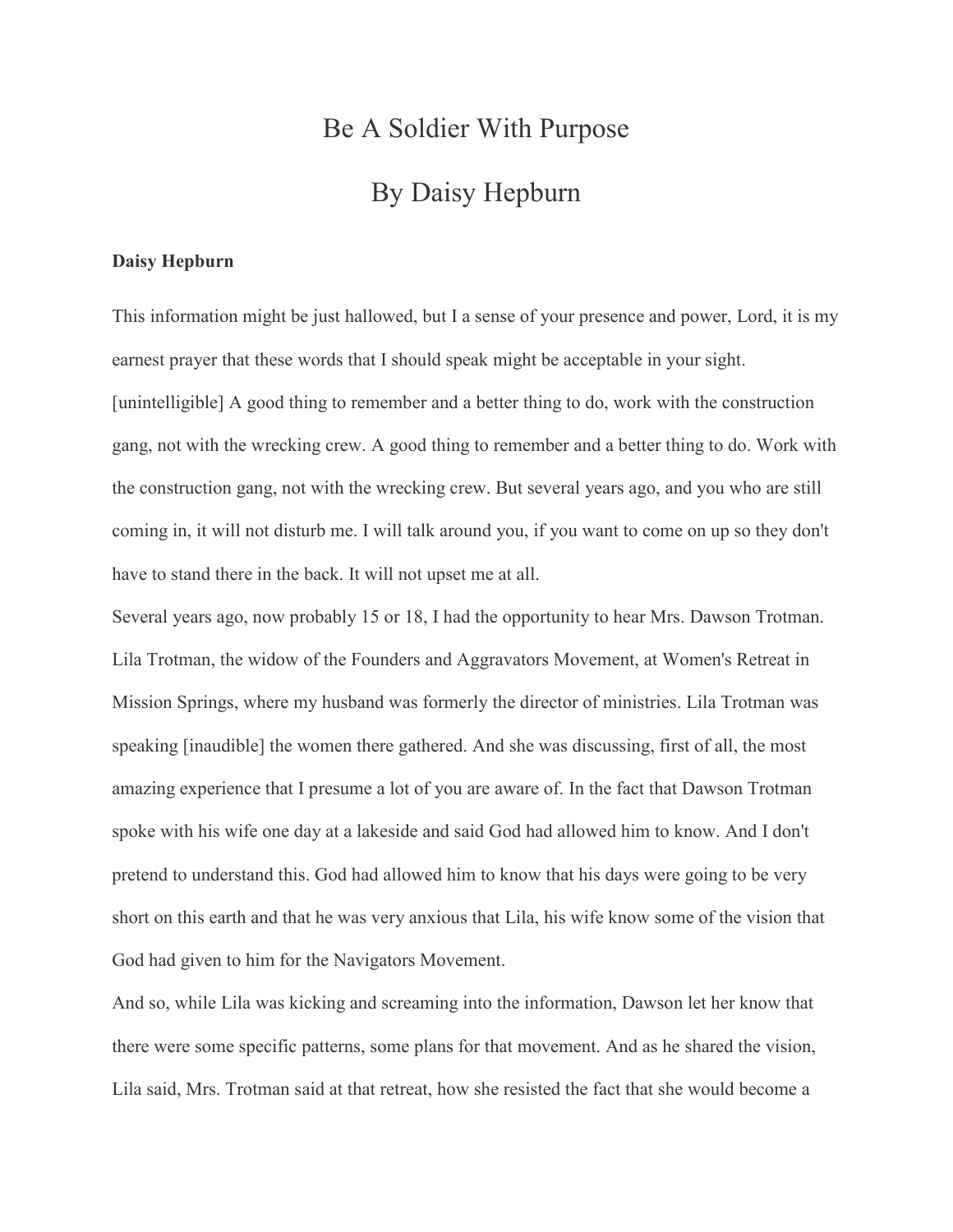## Be A Soldier With Purpose By Daisy Hepburn

## **Daisy Hepburn**

This information might be just hallowed, but I a sense of your presence and power, Lord, it is my earnest prayer that these words that I should speak might be acceptable in your sight. [unintelligible] A good thing to remember and a better thing to do, work with the construction gang, not with the wrecking crew. A good thing to remember and a better thing to do. Work with the construction gang, not with the wrecking crew. But several years ago, and you who are still coming in, it will not disturb me. I will talk around you, if you want to come on up so they don't have to stand there in the back. It will not upset me at all.

Several years ago, now probably 15 or 18, I had the opportunity to hear Mrs. Dawson Trotman. Lila Trotman, the widow of the Founders and Aggravators Movement, at Women's Retreat in Mission Springs, where my husband was formerly the director of ministries. Lila Trotman was speaking [inaudible] the women there gathered. And she was discussing, first of all, the most amazing experience that I presume a lot of you are aware of. In the fact that Dawson Trotman spoke with his wife one day at a lakeside and said God had allowed him to know. And I don't pretend to understand this. God had allowed him to know that his days were going to be very short on this earth and that he was very anxious that Lila, his wife know some of the vision that God had given to him for the Navigators Movement.

And so, while Lila was kicking and screaming into the information, Dawson let her know that there were some specific patterns, some plans for that movement. And as he shared the vision, Lila said, Mrs. Trotman said at that retreat, how she resisted the fact that she would become a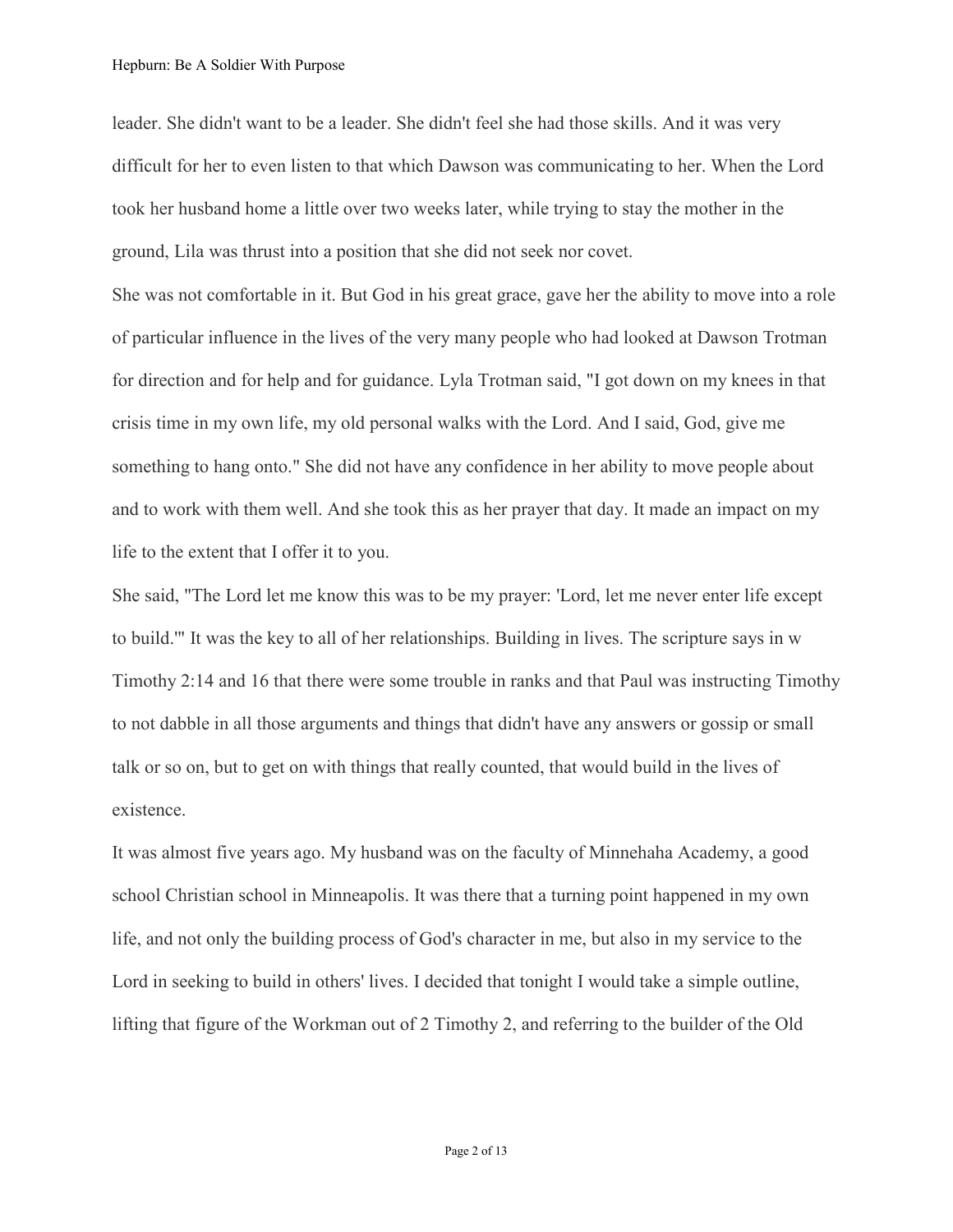leader. She didn't want to be a leader. She didn't feel she had those skills. And it was very difficult for her to even listen to that which Dawson was communicating to her. When the Lord took her husband home a little over two weeks later, while trying to stay the mother in the ground, Lila was thrust into a position that she did not seek nor covet.

She was not comfortable in it. But God in his great grace, gave her the ability to move into a role of particular influence in the lives of the very many people who had looked at Dawson Trotman for direction and for help and for guidance. Lyla Trotman said, "I got down on my knees in that crisis time in my own life, my old personal walks with the Lord. And I said, God, give me something to hang onto." She did not have any confidence in her ability to move people about and to work with them well. And she took this as her prayer that day. It made an impact on my life to the extent that I offer it to you.

She said, "The Lord let me know this was to be my prayer: 'Lord, let me never enter life except to build.'" It was the key to all of her relationships. Building in lives. The scripture says in w Timothy 2:14 and 16 that there were some trouble in ranks and that Paul was instructing Timothy to not dabble in all those arguments and things that didn't have any answers or gossip or small talk or so on, but to get on with things that really counted, that would build in the lives of existence.

It was almost five years ago. My husband was on the faculty of Minnehaha Academy, a good school Christian school in Minneapolis. It was there that a turning point happened in my own life, and not only the building process of God's character in me, but also in my service to the Lord in seeking to build in others' lives. I decided that tonight I would take a simple outline, lifting that figure of the Workman out of 2 Timothy 2, and referring to the builder of the Old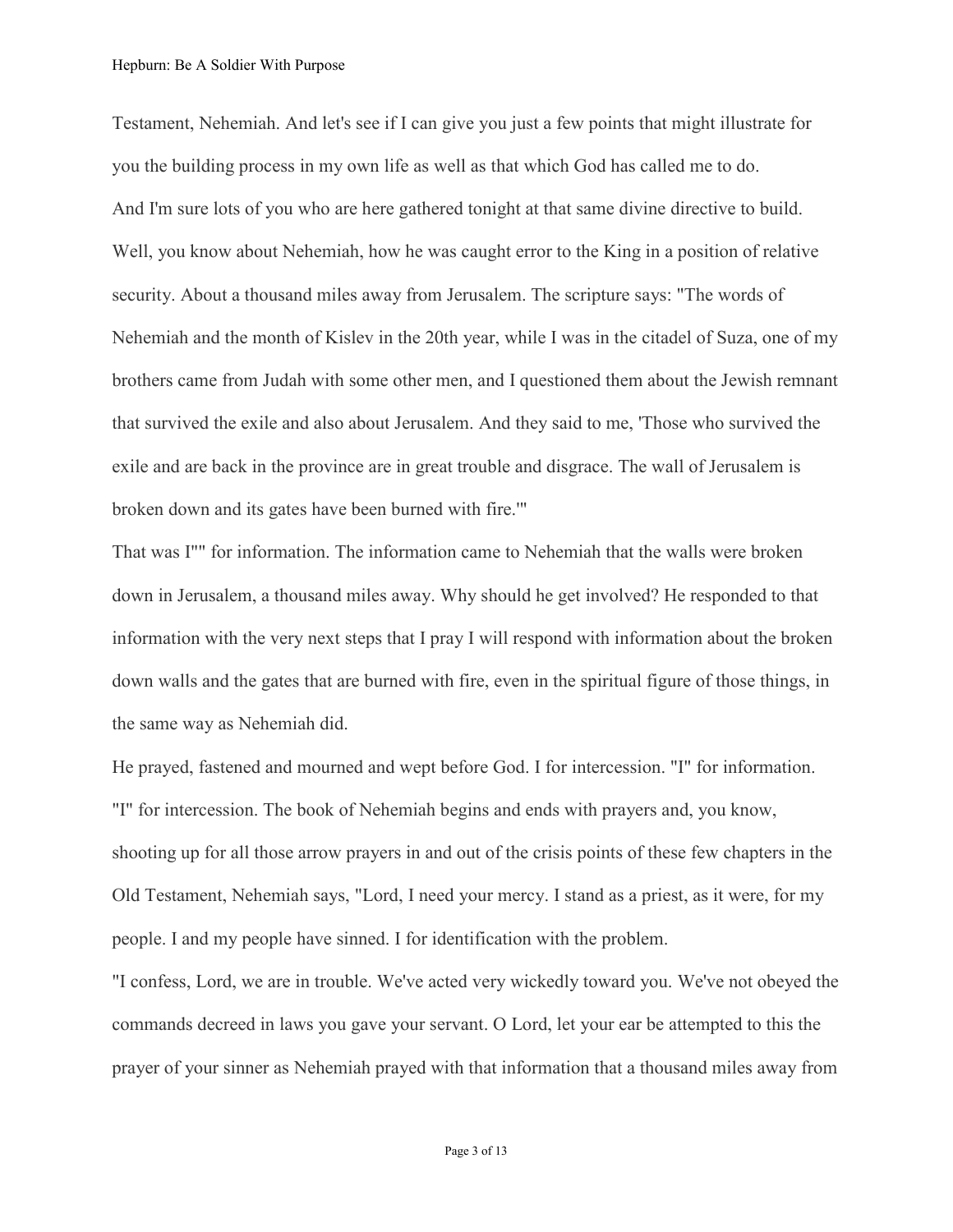Testament, Nehemiah. And let's see if I can give you just a few points that might illustrate for you the building process in my own life as well as that which God has called me to do. And I'm sure lots of you who are here gathered tonight at that same divine directive to build. Well, you know about Nehemiah, how he was caught error to the King in a position of relative security. About a thousand miles away from Jerusalem. The scripture says: "The words of Nehemiah and the month of Kislev in the 20th year, while I was in the citadel of Suza, one of my brothers came from Judah with some other men, and I questioned them about the Jewish remnant that survived the exile and also about Jerusalem. And they said to me, 'Those who survived the exile and are back in the province are in great trouble and disgrace. The wall of Jerusalem is broken down and its gates have been burned with fire.'"

That was I"" for information. The information came to Nehemiah that the walls were broken down in Jerusalem, a thousand miles away. Why should he get involved? He responded to that information with the very next steps that I pray I will respond with information about the broken down walls and the gates that are burned with fire, even in the spiritual figure of those things, in the same way as Nehemiah did.

He prayed, fastened and mourned and wept before God. I for intercession. "I" for information. "I" for intercession. The book of Nehemiah begins and ends with prayers and, you know, shooting up for all those arrow prayers in and out of the crisis points of these few chapters in the Old Testament, Nehemiah says, "Lord, I need your mercy. I stand as a priest, as it were, for my people. I and my people have sinned. I for identification with the problem.

"I confess, Lord, we are in trouble. We've acted very wickedly toward you. We've not obeyed the commands decreed in laws you gave your servant. O Lord, let your ear be attempted to this the prayer of your sinner as Nehemiah prayed with that information that a thousand miles away from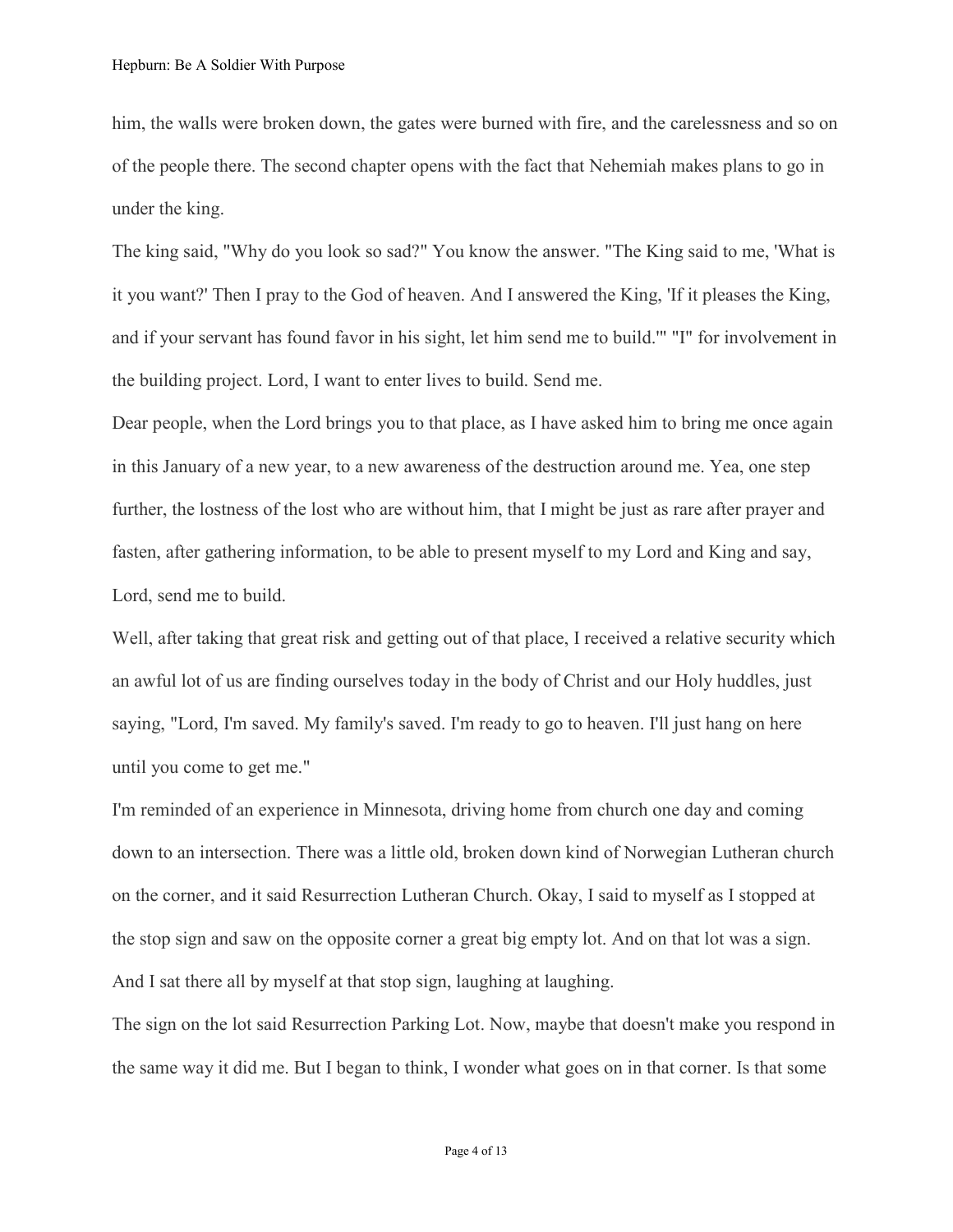him, the walls were broken down, the gates were burned with fire, and the carelessness and so on of the people there. The second chapter opens with the fact that Nehemiah makes plans to go in under the king.

The king said, "Why do you look so sad?" You know the answer. "The King said to me, 'What is it you want?' Then I pray to the God of heaven. And I answered the King, 'If it pleases the King, and if your servant has found favor in his sight, let him send me to build.'" "I" for involvement in the building project. Lord, I want to enter lives to build. Send me.

Dear people, when the Lord brings you to that place, as I have asked him to bring me once again in this January of a new year, to a new awareness of the destruction around me. Yea, one step further, the lostness of the lost who are without him, that I might be just as rare after prayer and fasten, after gathering information, to be able to present myself to my Lord and King and say, Lord, send me to build.

Well, after taking that great risk and getting out of that place, I received a relative security which an awful lot of us are finding ourselves today in the body of Christ and our Holy huddles, just saying, "Lord, I'm saved. My family's saved. I'm ready to go to heaven. I'll just hang on here until you come to get me."

I'm reminded of an experience in Minnesota, driving home from church one day and coming down to an intersection. There was a little old, broken down kind of Norwegian Lutheran church on the corner, and it said Resurrection Lutheran Church. Okay, I said to myself as I stopped at the stop sign and saw on the opposite corner a great big empty lot. And on that lot was a sign. And I sat there all by myself at that stop sign, laughing at laughing.

The sign on the lot said Resurrection Parking Lot. Now, maybe that doesn't make you respond in the same way it did me. But I began to think, I wonder what goes on in that corner. Is that some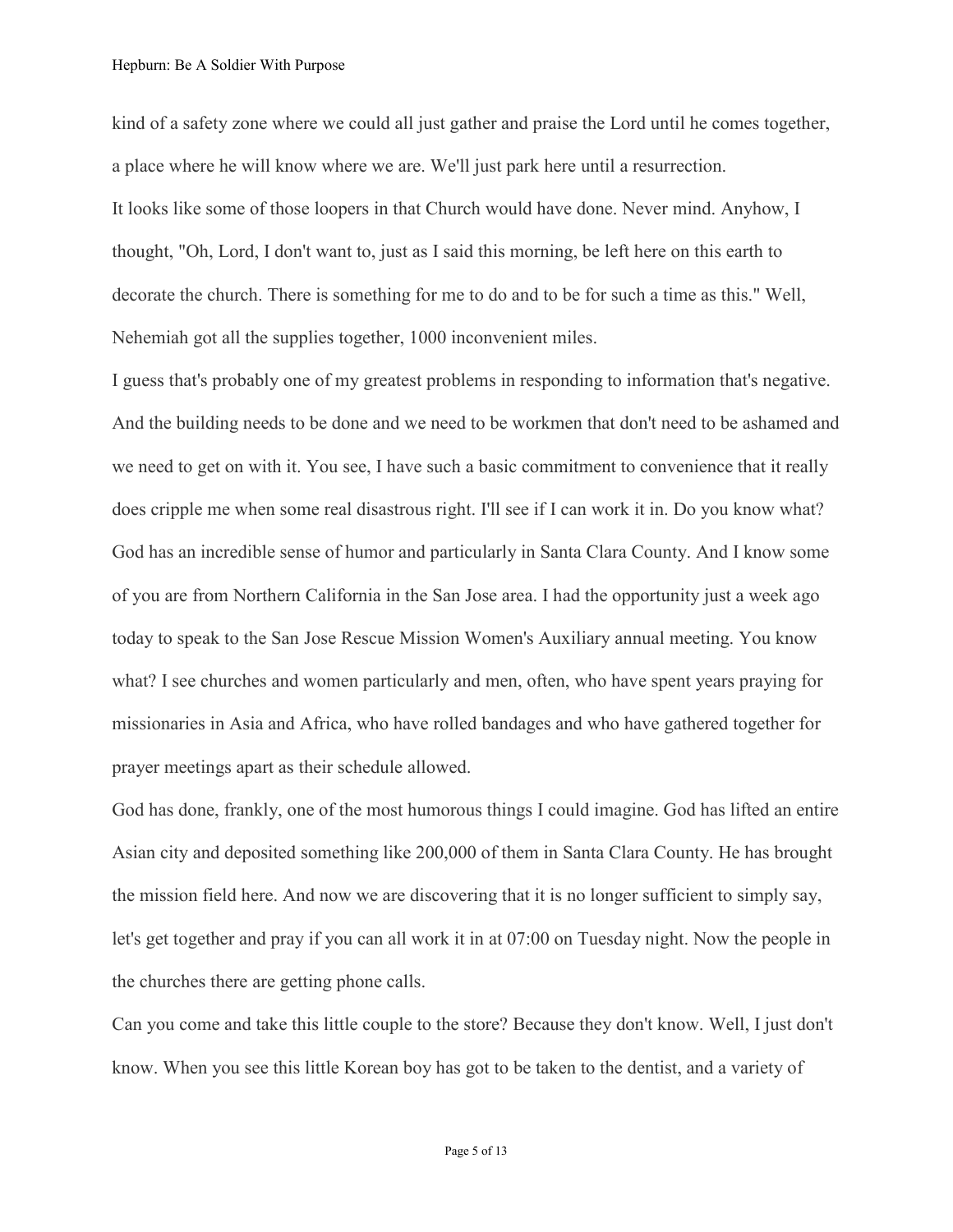kind of a safety zone where we could all just gather and praise the Lord until he comes together, a place where he will know where we are. We'll just park here until a resurrection. It looks like some of those loopers in that Church would have done. Never mind. Anyhow, I thought, "Oh, Lord, I don't want to, just as I said this morning, be left here on this earth to decorate the church. There is something for me to do and to be for such a time as this." Well, Nehemiah got all the supplies together, 1000 inconvenient miles.

I guess that's probably one of my greatest problems in responding to information that's negative. And the building needs to be done and we need to be workmen that don't need to be ashamed and we need to get on with it. You see, I have such a basic commitment to convenience that it really does cripple me when some real disastrous right. I'll see if I can work it in. Do you know what? God has an incredible sense of humor and particularly in Santa Clara County. And I know some of you are from Northern California in the San Jose area. I had the opportunity just a week ago today to speak to the San Jose Rescue Mission Women's Auxiliary annual meeting. You know what? I see churches and women particularly and men, often, who have spent years praying for missionaries in Asia and Africa, who have rolled bandages and who have gathered together for prayer meetings apart as their schedule allowed.

God has done, frankly, one of the most humorous things I could imagine. God has lifted an entire Asian city and deposited something like 200,000 of them in Santa Clara County. He has brought the mission field here. And now we are discovering that it is no longer sufficient to simply say, let's get together and pray if you can all work it in at 07:00 on Tuesday night. Now the people in the churches there are getting phone calls.

Can you come and take this little couple to the store? Because they don't know. Well, I just don't know. When you see this little Korean boy has got to be taken to the dentist, and a variety of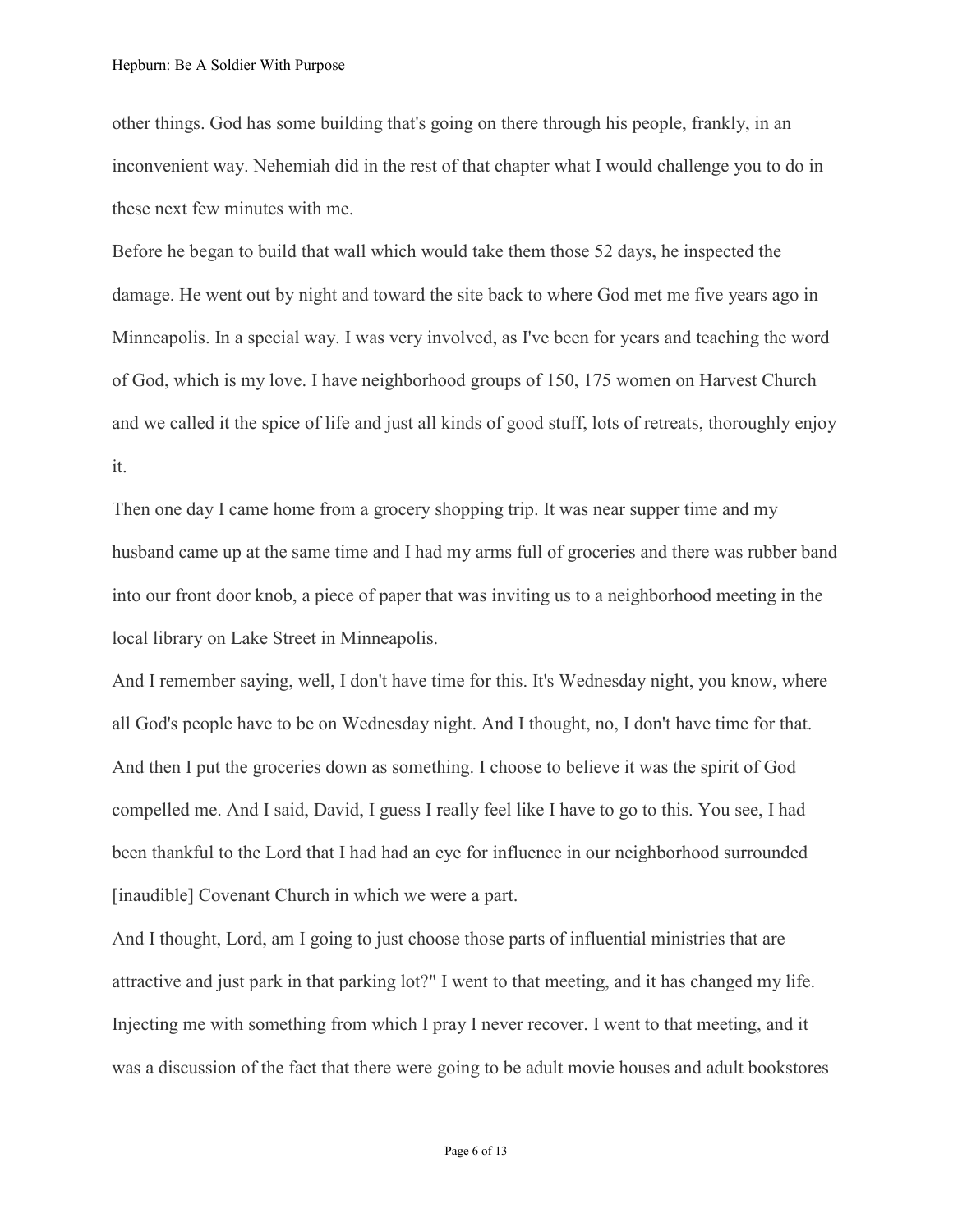other things. God has some building that's going on there through his people, frankly, in an inconvenient way. Nehemiah did in the rest of that chapter what I would challenge you to do in these next few minutes with me.

Before he began to build that wall which would take them those 52 days, he inspected the damage. He went out by night and toward the site back to where God met me five years ago in Minneapolis. In a special way. I was very involved, as I've been for years and teaching the word of God, which is my love. I have neighborhood groups of 150, 175 women on Harvest Church and we called it the spice of life and just all kinds of good stuff, lots of retreats, thoroughly enjoy it.

Then one day I came home from a grocery shopping trip. It was near supper time and my husband came up at the same time and I had my arms full of groceries and there was rubber band into our front door knob, a piece of paper that was inviting us to a neighborhood meeting in the local library on Lake Street in Minneapolis.

And I remember saying, well, I don't have time for this. It's Wednesday night, you know, where all God's people have to be on Wednesday night. And I thought, no, I don't have time for that. And then I put the groceries down as something. I choose to believe it was the spirit of God compelled me. And I said, David, I guess I really feel like I have to go to this. You see, I had been thankful to the Lord that I had had an eye for influence in our neighborhood surrounded [inaudible] Covenant Church in which we were a part.

And I thought, Lord, am I going to just choose those parts of influential ministries that are attractive and just park in that parking lot?" I went to that meeting, and it has changed my life. Injecting me with something from which I pray I never recover. I went to that meeting, and it was a discussion of the fact that there were going to be adult movie houses and adult bookstores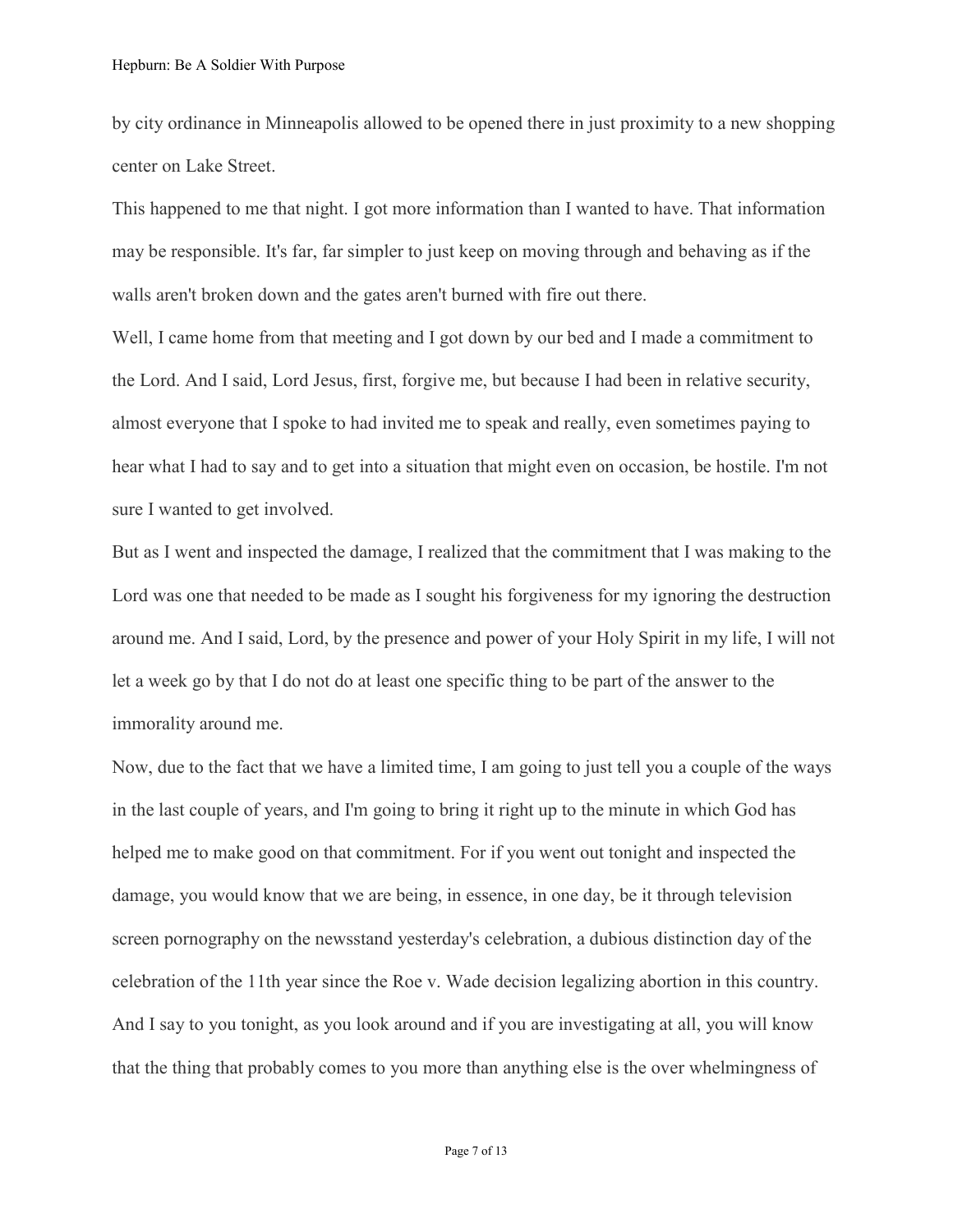by city ordinance in Minneapolis allowed to be opened there in just proximity to a new shopping center on Lake Street.

This happened to me that night. I got more information than I wanted to have. That information may be responsible. It's far, far simpler to just keep on moving through and behaving as if the walls aren't broken down and the gates aren't burned with fire out there.

Well, I came home from that meeting and I got down by our bed and I made a commitment to the Lord. And I said, Lord Jesus, first, forgive me, but because I had been in relative security, almost everyone that I spoke to had invited me to speak and really, even sometimes paying to hear what I had to say and to get into a situation that might even on occasion, be hostile. I'm not sure I wanted to get involved.

But as I went and inspected the damage, I realized that the commitment that I was making to the Lord was one that needed to be made as I sought his forgiveness for my ignoring the destruction around me. And I said, Lord, by the presence and power of your Holy Spirit in my life, I will not let a week go by that I do not do at least one specific thing to be part of the answer to the immorality around me.

Now, due to the fact that we have a limited time, I am going to just tell you a couple of the ways in the last couple of years, and I'm going to bring it right up to the minute in which God has helped me to make good on that commitment. For if you went out tonight and inspected the damage, you would know that we are being, in essence, in one day, be it through television screen pornography on the newsstand yesterday's celebration, a dubious distinction day of the celebration of the 11th year since the Roe v. Wade decision legalizing abortion in this country. And I say to you tonight, as you look around and if you are investigating at all, you will know that the thing that probably comes to you more than anything else is the over whelmingness of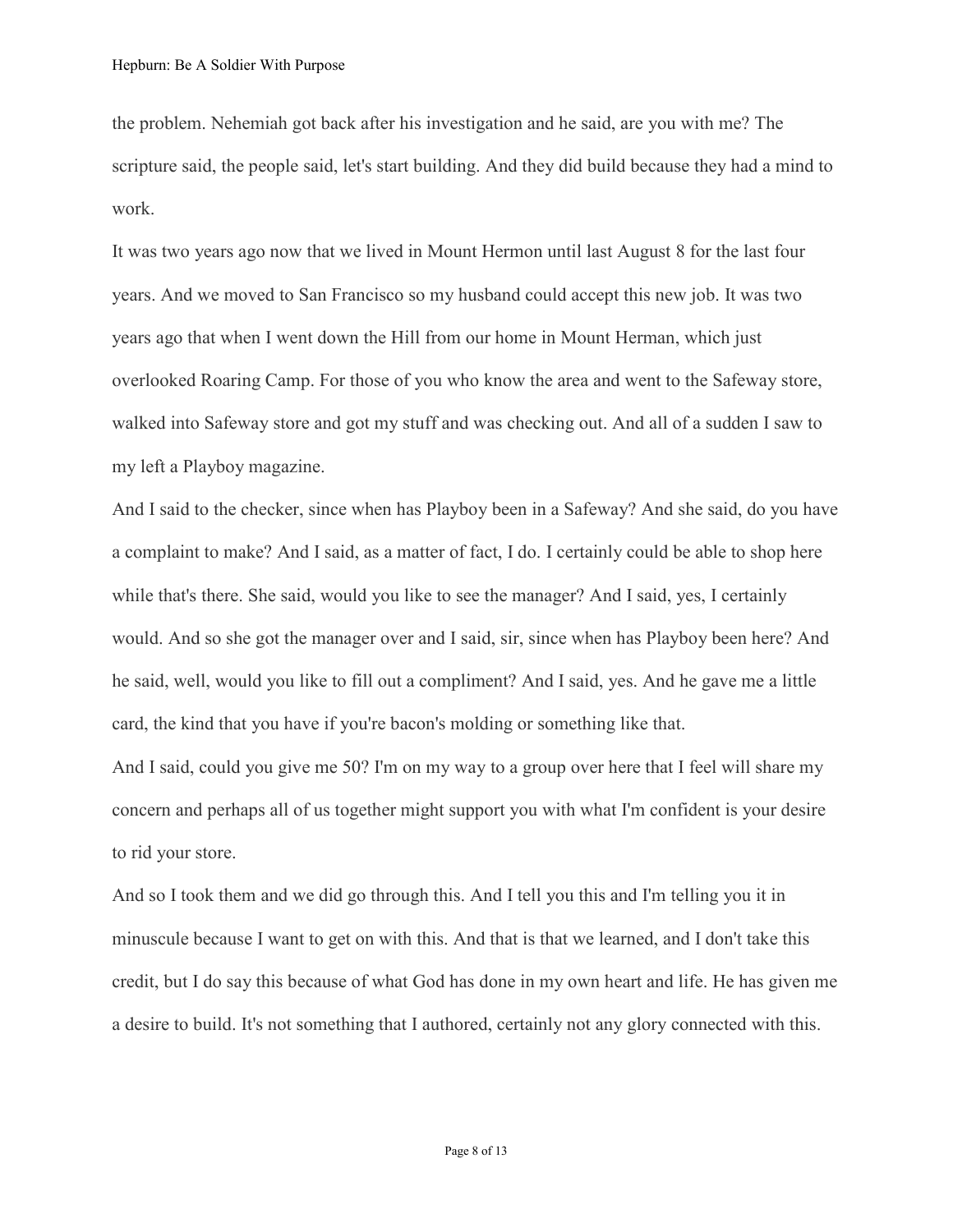the problem. Nehemiah got back after his investigation and he said, are you with me? The scripture said, the people said, let's start building. And they did build because they had a mind to work.

It was two years ago now that we lived in Mount Hermon until last August 8 for the last four years. And we moved to San Francisco so my husband could accept this new job. It was two years ago that when I went down the Hill from our home in Mount Herman, which just overlooked Roaring Camp. For those of you who know the area and went to the Safeway store, walked into Safeway store and got my stuff and was checking out. And all of a sudden I saw to my left a Playboy magazine.

And I said to the checker, since when has Playboy been in a Safeway? And she said, do you have a complaint to make? And I said, as a matter of fact, I do. I certainly could be able to shop here while that's there. She said, would you like to see the manager? And I said, yes, I certainly would. And so she got the manager over and I said, sir, since when has Playboy been here? And he said, well, would you like to fill out a compliment? And I said, yes. And he gave me a little card, the kind that you have if you're bacon's molding or something like that.

And I said, could you give me 50? I'm on my way to a group over here that I feel will share my concern and perhaps all of us together might support you with what I'm confident is your desire to rid your store.

And so I took them and we did go through this. And I tell you this and I'm telling you it in minuscule because I want to get on with this. And that is that we learned, and I don't take this credit, but I do say this because of what God has done in my own heart and life. He has given me a desire to build. It's not something that I authored, certainly not any glory connected with this.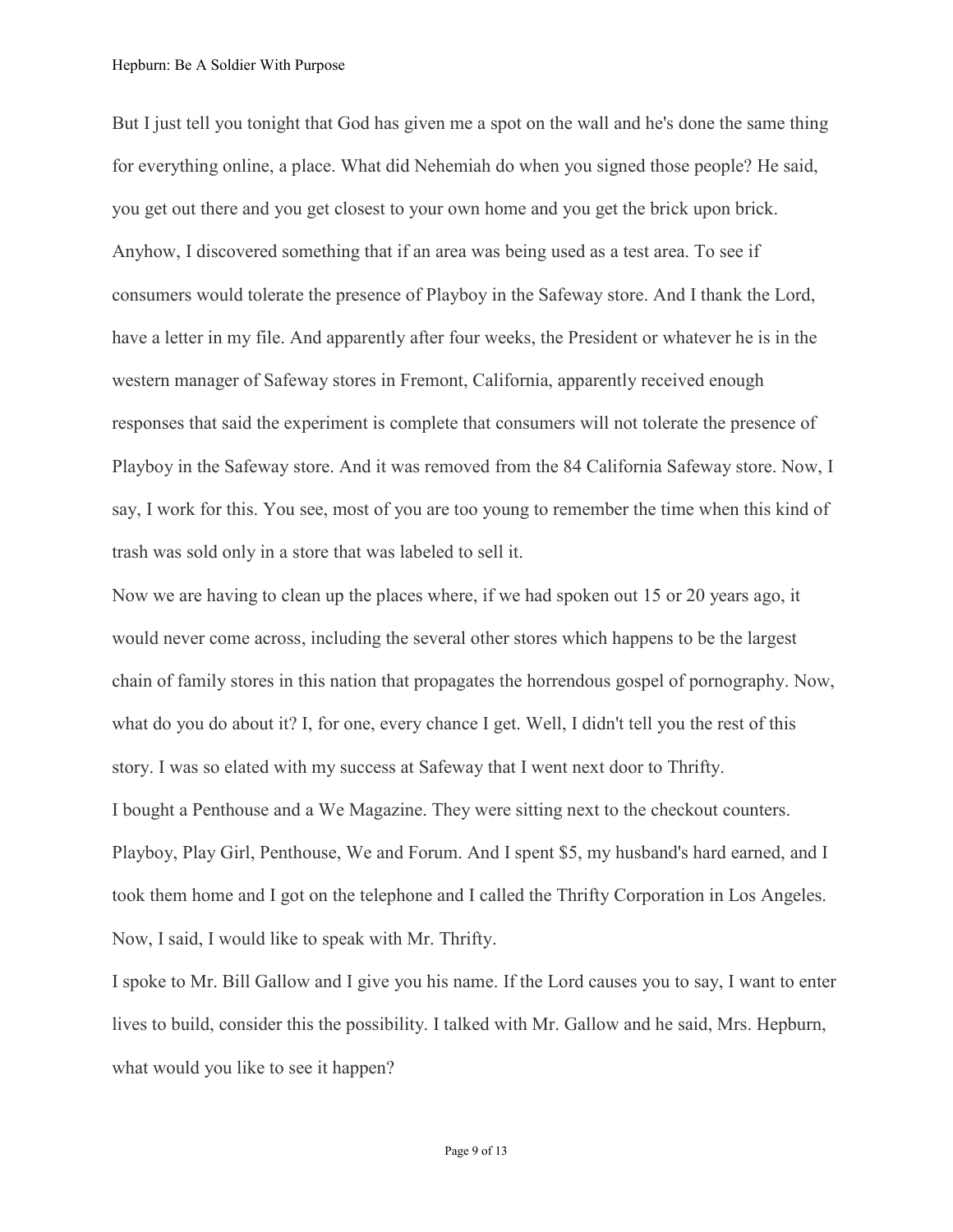But I just tell you tonight that God has given me a spot on the wall and he's done the same thing for everything online, a place. What did Nehemiah do when you signed those people? He said, you get out there and you get closest to your own home and you get the brick upon brick. Anyhow, I discovered something that if an area was being used as a test area. To see if consumers would tolerate the presence of Playboy in the Safeway store. And I thank the Lord, have a letter in my file. And apparently after four weeks, the President or whatever he is in the western manager of Safeway stores in Fremont, California, apparently received enough responses that said the experiment is complete that consumers will not tolerate the presence of Playboy in the Safeway store. And it was removed from the 84 California Safeway store. Now, I say, I work for this. You see, most of you are too young to remember the time when this kind of trash was sold only in a store that was labeled to sell it.

Now we are having to clean up the places where, if we had spoken out 15 or 20 years ago, it would never come across, including the several other stores which happens to be the largest chain of family stores in this nation that propagates the horrendous gospel of pornography. Now, what do you do about it? I, for one, every chance I get. Well, I didn't tell you the rest of this story. I was so elated with my success at Safeway that I went next door to Thrifty. I bought a Penthouse and a We Magazine. They were sitting next to the checkout counters. Playboy, Play Girl, Penthouse, We and Forum. And I spent \$5, my husband's hard earned, and I took them home and I got on the telephone and I called the Thrifty Corporation in Los Angeles. Now, I said, I would like to speak with Mr. Thrifty.

I spoke to Mr. Bill Gallow and I give you his name. If the Lord causes you to say, I want to enter lives to build, consider this the possibility. I talked with Mr. Gallow and he said, Mrs. Hepburn, what would you like to see it happen?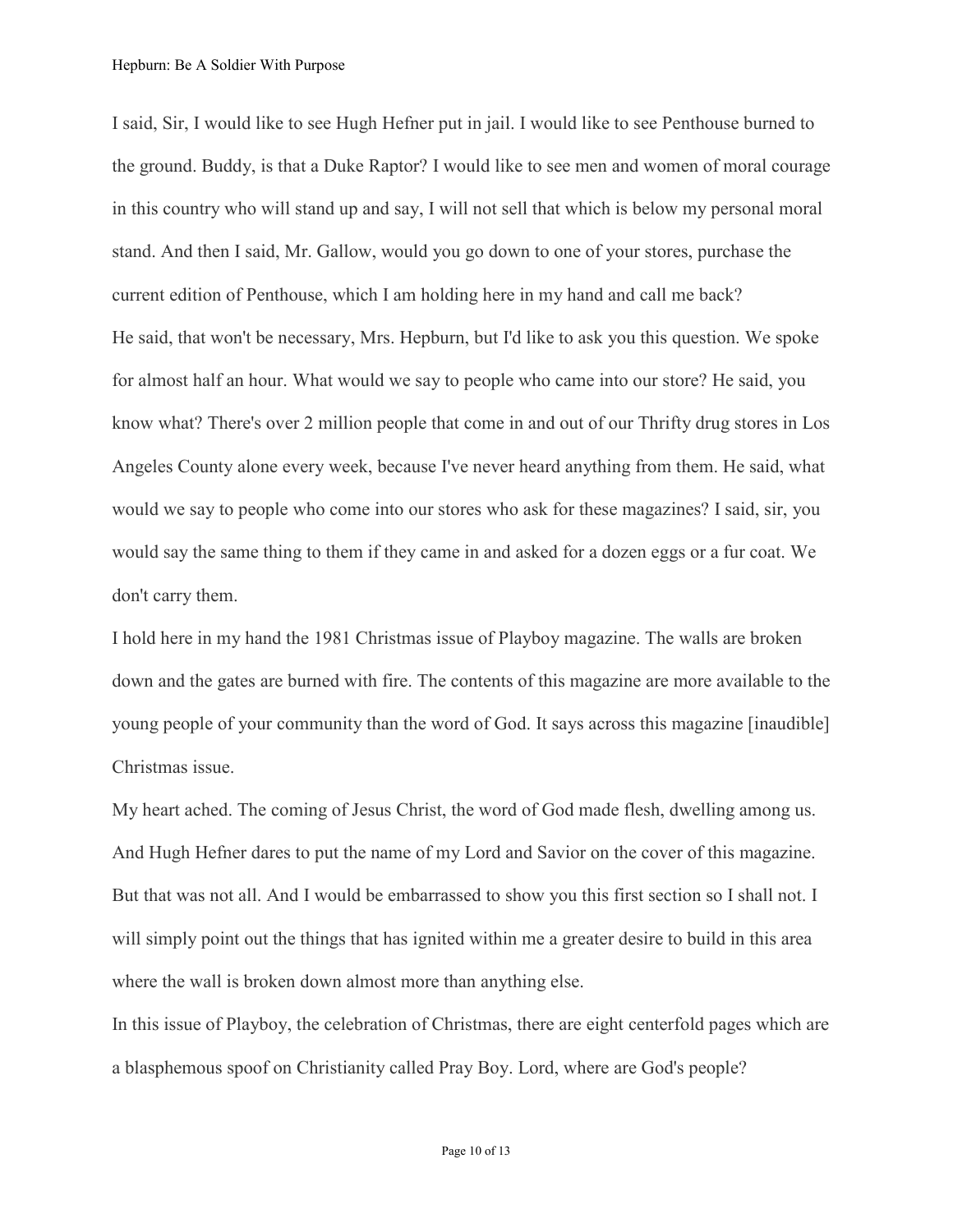I said, Sir, I would like to see Hugh Hefner put in jail. I would like to see Penthouse burned to the ground. Buddy, is that a Duke Raptor? I would like to see men and women of moral courage in this country who will stand up and say, I will not sell that which is below my personal moral stand. And then I said, Mr. Gallow, would you go down to one of your stores, purchase the current edition of Penthouse, which I am holding here in my hand and call me back? He said, that won't be necessary, Mrs. Hepburn, but I'd like to ask you this question. We spoke for almost half an hour. What would we say to people who came into our store? He said, you know what? There's over 2 million people that come in and out of our Thrifty drug stores in Los Angeles County alone every week, because I've never heard anything from them. He said, what would we say to people who come into our stores who ask for these magazines? I said, sir, you would say the same thing to them if they came in and asked for a dozen eggs or a fur coat. We don't carry them.

I hold here in my hand the 1981 Christmas issue of Playboy magazine. The walls are broken down and the gates are burned with fire. The contents of this magazine are more available to the young people of your community than the word of God. It says across this magazine [inaudible] Christmas issue.

My heart ached. The coming of Jesus Christ, the word of God made flesh, dwelling among us. And Hugh Hefner dares to put the name of my Lord and Savior on the cover of this magazine. But that was not all. And I would be embarrassed to show you this first section so I shall not. I will simply point out the things that has ignited within me a greater desire to build in this area where the wall is broken down almost more than anything else.

In this issue of Playboy, the celebration of Christmas, there are eight centerfold pages which are a blasphemous spoof on Christianity called Pray Boy. Lord, where are God's people?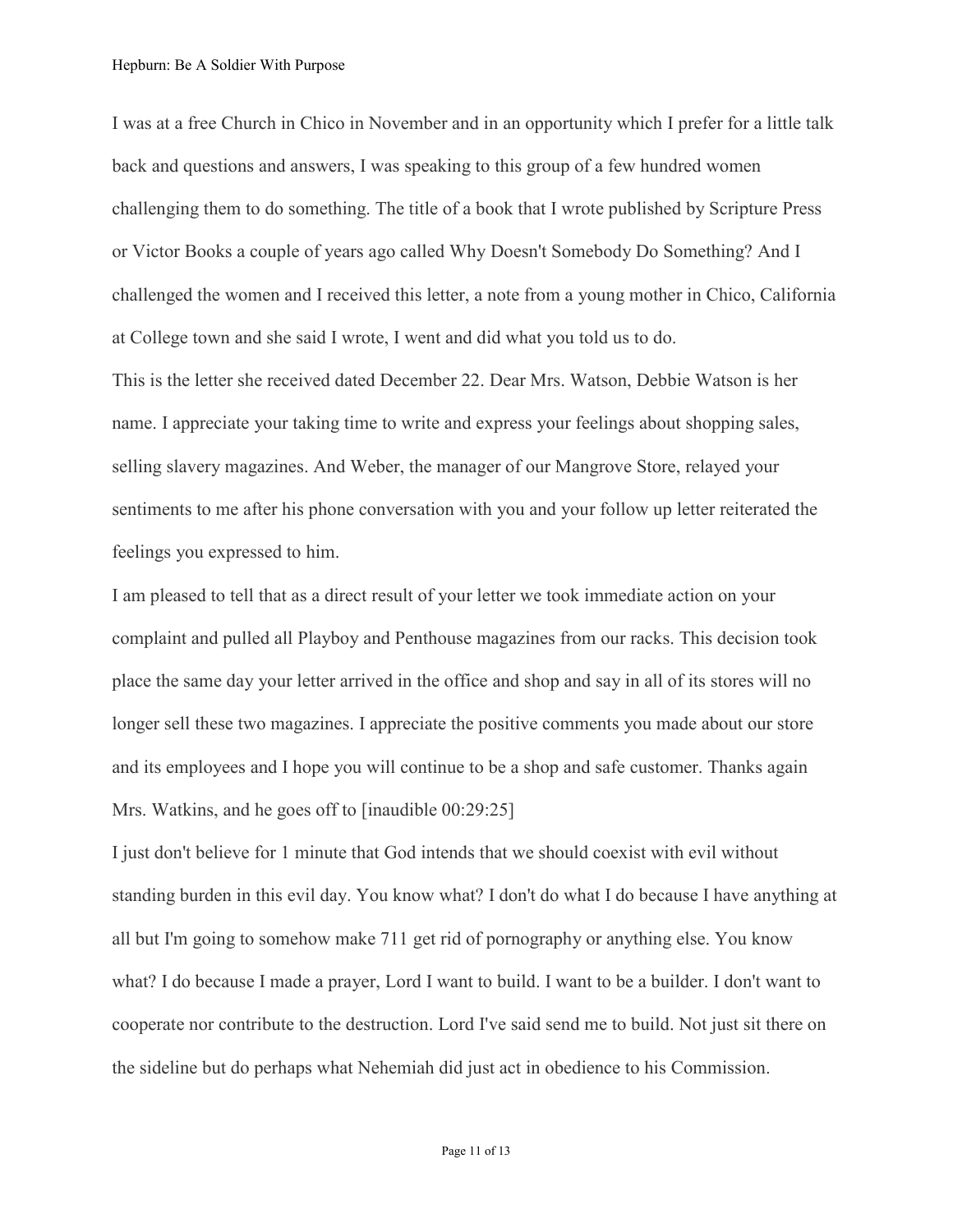I was at a free Church in Chico in November and in an opportunity which I prefer for a little talk back and questions and answers, I was speaking to this group of a few hundred women challenging them to do something. The title of a book that I wrote published by Scripture Press or Victor Books a couple of years ago called Why Doesn't Somebody Do Something? And I challenged the women and I received this letter, a note from a young mother in Chico, California at College town and she said I wrote, I went and did what you told us to do.

This is the letter she received dated December 22. Dear Mrs. Watson, Debbie Watson is her name. I appreciate your taking time to write and express your feelings about shopping sales, selling slavery magazines. And Weber, the manager of our Mangrove Store, relayed your sentiments to me after his phone conversation with you and your follow up letter reiterated the feelings you expressed to him.

I am pleased to tell that as a direct result of your letter we took immediate action on your complaint and pulled all Playboy and Penthouse magazines from our racks. This decision took place the same day your letter arrived in the office and shop and say in all of its stores will no longer sell these two magazines. I appreciate the positive comments you made about our store and its employees and I hope you will continue to be a shop and safe customer. Thanks again Mrs. Watkins, and he goes off to [inaudible 00:29:25]

I just don't believe for 1 minute that God intends that we should coexist with evil without standing burden in this evil day. You know what? I don't do what I do because I have anything at all but I'm going to somehow make 711 get rid of pornography or anything else. You know what? I do because I made a prayer, Lord I want to build. I want to be a builder. I don't want to cooperate nor contribute to the destruction. Lord I've said send me to build. Not just sit there on the sideline but do perhaps what Nehemiah did just act in obedience to his Commission.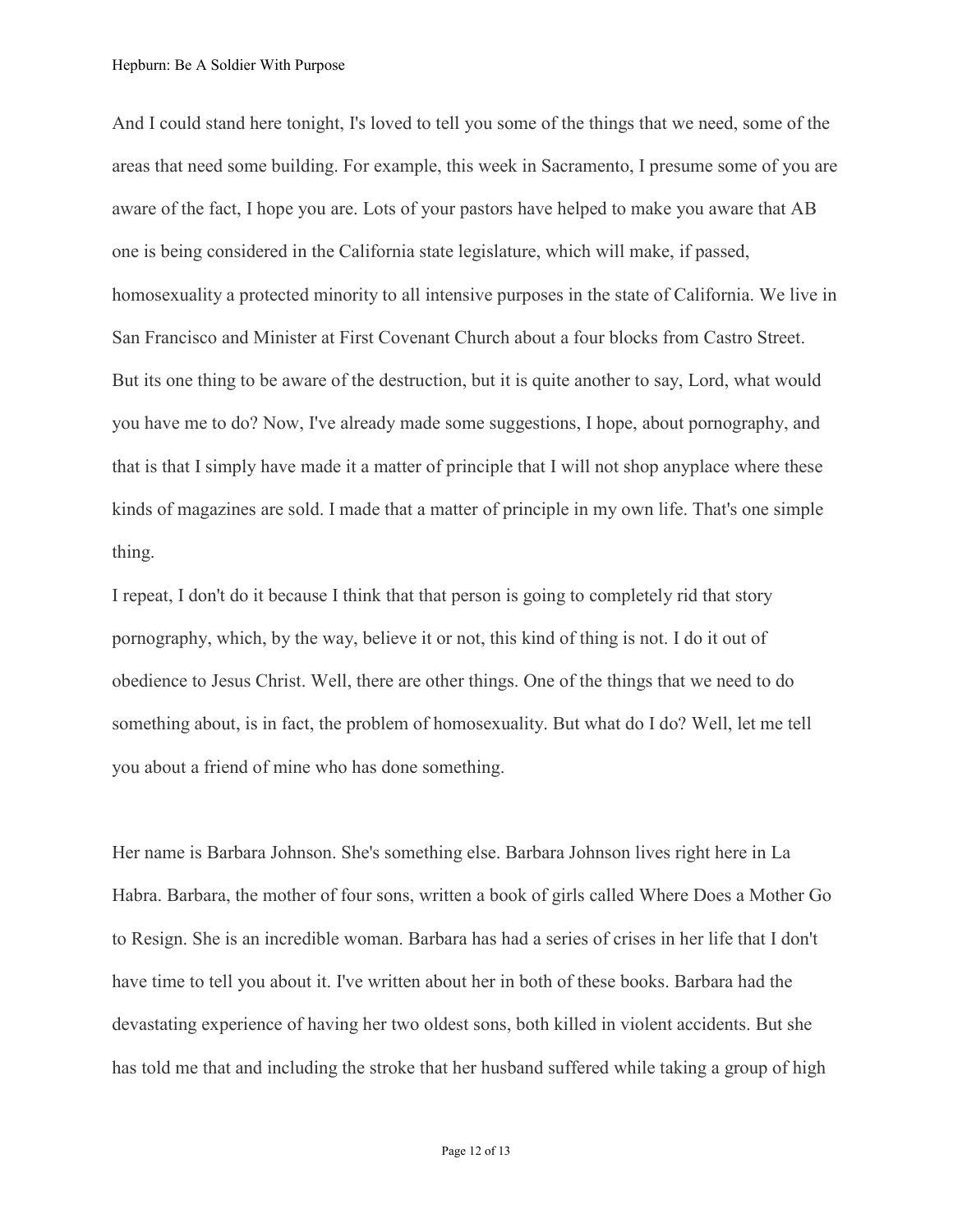And I could stand here tonight, I's loved to tell you some of the things that we need, some of the areas that need some building. For example, this week in Sacramento, I presume some of you are aware of the fact, I hope you are. Lots of your pastors have helped to make you aware that AB one is being considered in the California state legislature, which will make, if passed, homosexuality a protected minority to all intensive purposes in the state of California. We live in San Francisco and Minister at First Covenant Church about a four blocks from Castro Street. But its one thing to be aware of the destruction, but it is quite another to say, Lord, what would you have me to do? Now, I've already made some suggestions, I hope, about pornography, and that is that I simply have made it a matter of principle that I will not shop anyplace where these kinds of magazines are sold. I made that a matter of principle in my own life. That's one simple thing.

I repeat, I don't do it because I think that that person is going to completely rid that story pornography, which, by the way, believe it or not, this kind of thing is not. I do it out of obedience to Jesus Christ. Well, there are other things. One of the things that we need to do something about, is in fact, the problem of homosexuality. But what do I do? Well, let me tell you about a friend of mine who has done something.

Her name is Barbara Johnson. She's something else. Barbara Johnson lives right here in La Habra. Barbara, the mother of four sons, written a book of girls called Where Does a Mother Go to Resign. She is an incredible woman. Barbara has had a series of crises in her life that I don't have time to tell you about it. I've written about her in both of these books. Barbara had the devastating experience of having her two oldest sons, both killed in violent accidents. But she has told me that and including the stroke that her husband suffered while taking a group of high